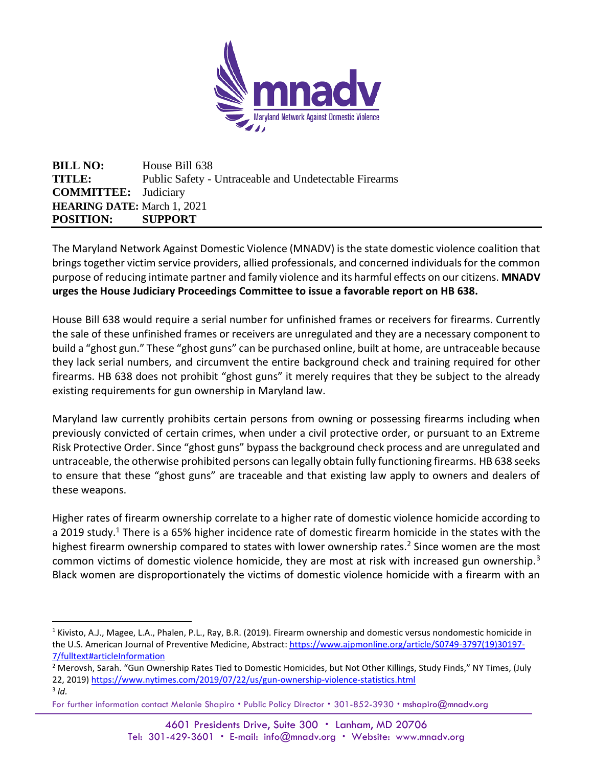

**BILL NO:** House Bill 638 **TITLE:** Public Safety - Untraceable and Undetectable Firearms **COMMITTEE:** Judiciary **HEARING DATE:** March 1, 2021 **POSITION: SUPPORT**

The Maryland Network Against Domestic Violence (MNADV) is the state domestic violence coalition that brings together victim service providers, allied professionals, and concerned individuals for the common purpose of reducing intimate partner and family violence and its harmful effects on our citizens. **MNADV urges the House Judiciary Proceedings Committee to issue a favorable report on HB 638.** 

House Bill 638 would require a serial number for unfinished frames or receivers for firearms. Currently the sale of these unfinished frames or receivers are unregulated and they are a necessary component to build a "ghost gun." These "ghost guns" can be purchased online, built at home, are untraceable because they lack serial numbers, and circumvent the entire background check and training required for other firearms. HB 638 does not prohibit "ghost guns" it merely requires that they be subject to the already existing requirements for gun ownership in Maryland law.

Maryland law currently prohibits certain persons from owning or possessing firearms including when previously convicted of certain crimes, when under a civil protective order, or pursuant to an Extreme Risk Protective Order. Since "ghost guns" bypass the background check process and are unregulated and untraceable, the otherwise prohibited persons can legally obtain fully functioning firearms. HB 638 seeks to ensure that these "ghost guns" are traceable and that existing law apply to owners and dealers of these weapons.

Higher rates of firearm ownership correlate to a higher rate of domestic violence homicide according to a 2019 study.<sup>1</sup> There is a 65% higher incidence rate of domestic firearm homicide in the states with the highest firearm ownership compared to states with lower ownership rates.<sup>2</sup> Since women are the most common victims of domestic violence homicide, they are most at risk with increased gun ownership.<sup>3</sup> Black women are disproportionately the victims of domestic violence homicide with a firearm with an

- <sup>2</sup> Merovsh, Sarah. "Gun Ownership Rates Tied to Domestic Homicides, but Not Other Killings, Study Finds," NY Times, (July 22, 2019[\) https://www.nytimes.com/2019/07/22/us/gun-ownership-violence-statistics.html](https://www.nytimes.com/2019/07/22/us/gun-ownership-violence-statistics.html) 3 *Id.*
- For further information contact Melanie Shapiro . Public Policy Director . 301-852-3930 . mshapiro@mnadv.org

<sup>&</sup>lt;sup>1</sup> Kivisto, A.J., Magee, L.A., Phalen, P.L., Ray, B.R. (2019). Firearm ownership and domestic versus nondomestic homicide in the U.S. American Journal of Preventive Medicine, Abstract: [https://www.ajpmonline.org/article/S0749-3797\(19\)30197-](https://www.ajpmonline.org/article/S0749-3797(19)30197-7/fulltext#articleInformation) [7/fulltext#articleInformation](https://www.ajpmonline.org/article/S0749-3797(19)30197-7/fulltext#articleInformation)